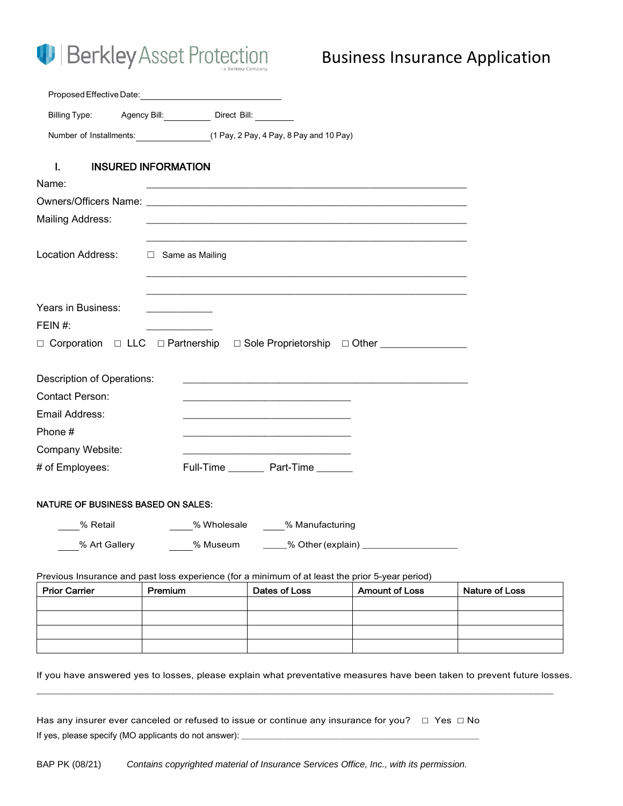# **D** Berkley Asset Protection

# Business Insurance Application

|                                           | Billing Type: Agency Bill: Direct Bill: Direct Bill:                                                                  |
|-------------------------------------------|-----------------------------------------------------------------------------------------------------------------------|
|                                           | Number of Installments: (1 Pay, 2 Pay, 4 Pay, 8 Pay and 10 Pay)                                                       |
| L.                                        | <b>INSURED INFORMATION</b>                                                                                            |
| Name:                                     | <u> 1989 - Johann Barn, amerikan bernama di sebagai bernama di sebagai bernama di sebagai bernama di sebagai bern</u> |
|                                           |                                                                                                                       |
| Mailing Address:                          |                                                                                                                       |
|                                           |                                                                                                                       |
| Location Address:                         | □ Same as Mailing                                                                                                     |
|                                           |                                                                                                                       |
|                                           |                                                                                                                       |
| Years in Business:                        |                                                                                                                       |
| FEIN $#$ :                                |                                                                                                                       |
|                                           | □ Corporation □ LLC □ Partnership □ Sole Proprietorship □ Other ______________                                        |
|                                           |                                                                                                                       |
| Description of Operations:                | <u> 1980 - Andrea Barbara, poeta esperanto-poeta esperanto-poeta esperanto-poeta esperanto-poeta esperanto-poeta</u>  |
| Contact Person:                           |                                                                                                                       |
| Email Address:                            |                                                                                                                       |
| Phone #                                   |                                                                                                                       |
| Company Website:                          |                                                                                                                       |
| # of Employees:                           | Full-Time __________ Part-Time ________                                                                               |
|                                           |                                                                                                                       |
| <b>NATURE OF BUSINESS BASED ON SALES:</b> |                                                                                                                       |
| % Retail                                  | _____% Wholesale ______% Manufacturing                                                                                |
| % Art Gallery                             | % Museum                                                                                                              |

Previous Insurance and past loss experience (for a minimum of at least the prior 5-year period)

| <b>Prior Carrier</b> | Premium | Dates of Loss | <b>Amount of Loss</b> | Nature of Loss |
|----------------------|---------|---------------|-----------------------|----------------|
|                      |         |               |                       |                |
|                      |         |               |                       |                |
|                      |         |               |                       |                |
|                      |         |               |                       |                |

If you have answered yes to losses, please explain what preventative measures have been taken to prevent future losses.

\_\_\_\_\_\_\_\_\_\_\_\_\_\_\_\_\_\_\_\_\_\_\_\_\_\_\_\_\_\_\_\_\_\_\_\_\_\_\_\_\_\_\_\_\_\_\_\_\_\_\_\_\_\_\_\_\_\_\_\_\_\_\_\_\_\_\_\_\_\_\_\_\_\_\_\_\_\_\_\_\_\_\_\_\_\_\_\_\_\_\_\_\_\_\_\_\_\_\_\_\_\_\_\_

Has any insurer ever canceled or refused to issue or continue any insurance for you?  $\Box$  Yes  $\Box$  No If yes, please specify (MO applicants do not answer): \_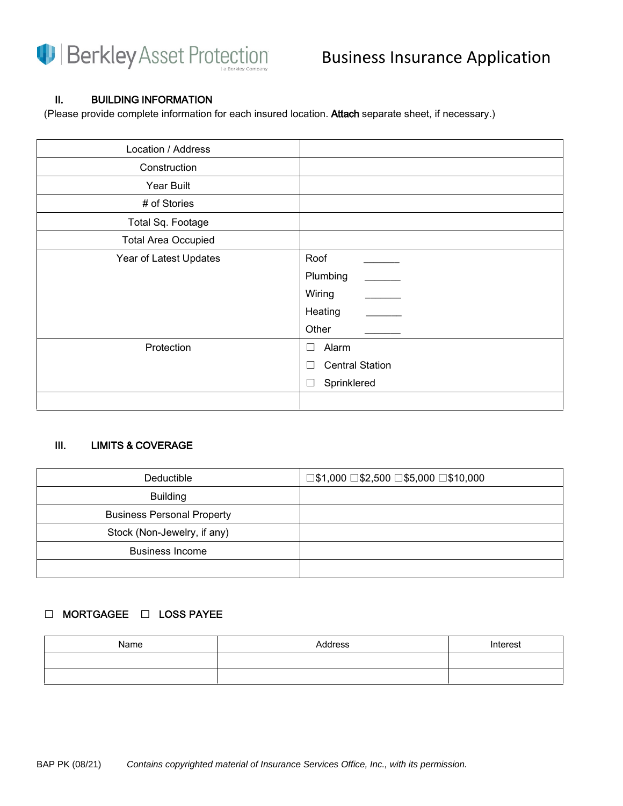

### II. BUILDING INFORMATION

(Please provide complete information for each insured location. Attach separate sheet, if necessary.)

| Location / Address         |                        |
|----------------------------|------------------------|
| Construction               |                        |
| Year Built                 |                        |
| # of Stories               |                        |
| Total Sq. Footage          |                        |
| <b>Total Area Occupied</b> |                        |
| Year of Latest Updates     | Roof                   |
|                            | Plumbing               |
|                            | Wiring                 |
|                            | Heating                |
|                            | Other                  |
| Protection                 | Alarm<br>$\Box$        |
|                            | <b>Central Station</b> |
|                            | Sprinklered            |
|                            |                        |

### III. LIMITS & COVERAGE

| Deductible                        | $\square$ \$1,000 $\square$ \$2,500 $\square$ \$5,000 $\square$ \$10,000 |
|-----------------------------------|--------------------------------------------------------------------------|
| <b>Building</b>                   |                                                                          |
| <b>Business Personal Property</b> |                                                                          |
| Stock (Non-Jewelry, if any)       |                                                                          |
| <b>Business Income</b>            |                                                                          |
|                                   |                                                                          |

### ☐ MORTGAGEE ☐ LOSS PAYEE

| Name | Address | Interest |
|------|---------|----------|
|      |         |          |
|      |         |          |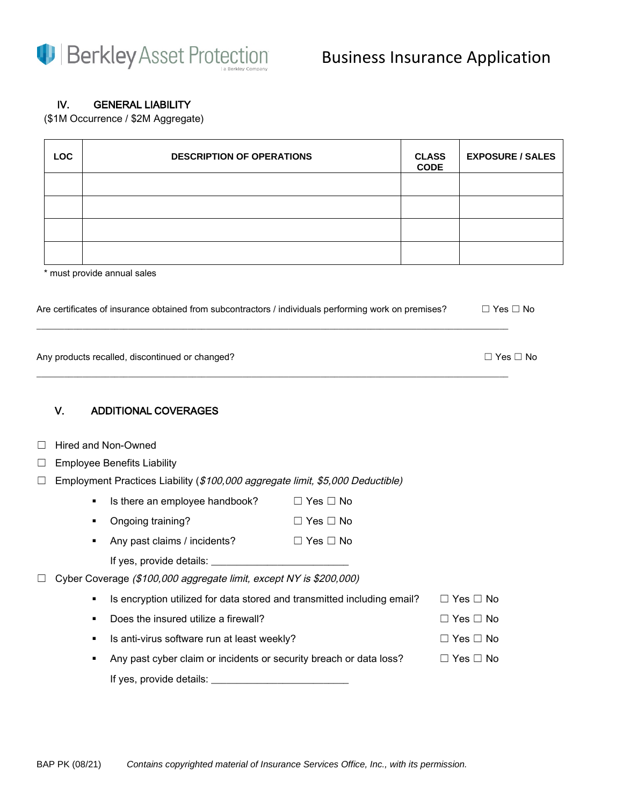

### IV. GENERAL LIABILITY

(\$1M Occurrence / \$2M Aggregate)

| <b>LOC</b> | <b>DESCRIPTION OF OPERATIONS</b> | <b>CLASS</b><br><b>CODE</b> | <b>EXPOSURE / SALES</b> |
|------------|----------------------------------|-----------------------------|-------------------------|
|            |                                  |                             |                         |
|            |                                  |                             |                         |
|            |                                  |                             |                         |
|            |                                  |                             |                         |
|            | * must provide annual sales      |                             |                         |

| Are certificates of insurance obtained from subcontractors / individuals performing work on premises? | □ Yes □ No |
|-------------------------------------------------------------------------------------------------------|------------|
|                                                                                                       |            |

| Any products recalled, discontinued or changed? | $\Box$ Yes $\Box$ No |
|-------------------------------------------------|----------------------|
|                                                 |                      |

\_\_\_\_\_\_\_\_\_\_\_\_\_\_\_\_\_\_\_\_\_\_\_\_\_\_\_\_\_\_\_\_\_\_\_\_\_\_\_\_\_\_\_\_\_\_\_\_\_\_\_\_\_\_\_\_\_\_\_\_\_\_\_\_\_\_\_\_\_\_\_\_\_\_\_\_\_\_\_\_\_\_\_\_\_\_\_\_\_\_\_\_\_\_\_\_\_\_\_\_\_\_\_

### V. ADDITIONAL COVERAGES

| $\Box$ Hired and Non-Owned |
|----------------------------|
|----------------------------|

□ Employee Benefits Liability

|  | $\Box$ Employment Practices Liability (\$100,000 aggregate limit, \$5,000 Deductible) |  |  |  |  |  |  |
|--|---------------------------------------------------------------------------------------|--|--|--|--|--|--|
|--|---------------------------------------------------------------------------------------|--|--|--|--|--|--|

| Is there an employee handbook? | $\Box$ Yes $\Box$ No |
|--------------------------------|----------------------|
|                                |                      |

- Ongoing training? ☐ Yes ☐ No
- Any past claims / incidents? □ Yes □ No

| If yes, provide details: |  |
|--------------------------|--|
|--------------------------|--|

□ Cyber Coverage (\$100,000 aggregate limit, except NY is \$200,000)

|  | • Is encryption utilized for data stored and transmitted including email? | $\Box$ Yes $\Box$ No |  |
|--|---------------------------------------------------------------------------|----------------------|--|
|  |                                                                           |                      |  |

Does the insured utilize a firewall?  $□$  Yes  $□$  No

|  | ■ Is anti-virus software run at least weekly? | $\Box$ Yes $\Box$ No |
|--|-----------------------------------------------|----------------------|
|--|-----------------------------------------------|----------------------|

■ Any past cyber claim or incidents or security breach or data loss? □ Yes □ No If yes, provide details: \_\_\_\_\_\_\_\_\_\_\_\_\_\_\_\_\_\_\_\_\_\_\_\_\_\_\_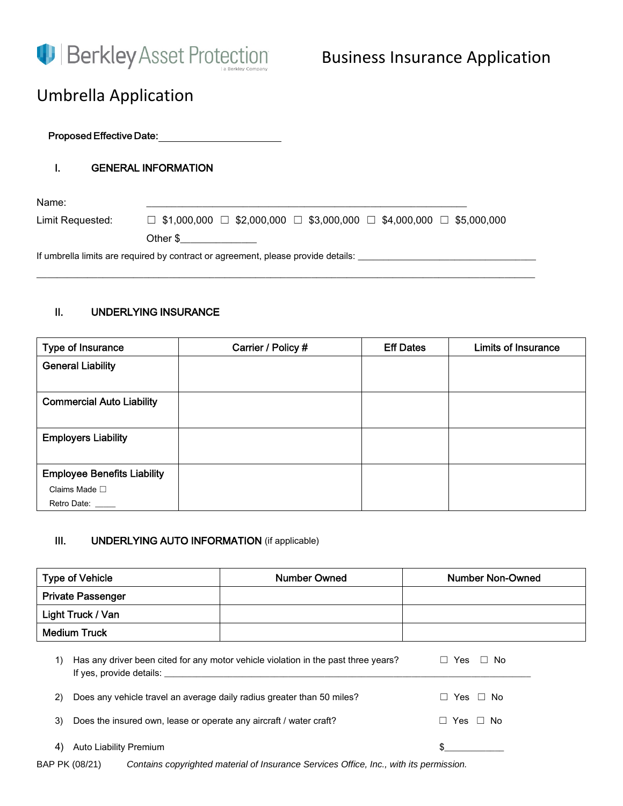

# Umbrella Application

Proposed Effective Date:

### I. GENERAL INFORMATION

Name: \_\_\_\_\_\_\_\_\_\_\_\_\_\_\_\_\_\_\_\_\_\_\_\_\_\_\_\_\_\_\_\_\_\_\_\_\_\_\_\_\_\_\_\_\_\_\_\_\_\_\_\_\_\_\_\_\_\_\_\_\_\_\_

Limit Requested: <del>□</del> \$1,000,000 □ \$2,000,000 □ \$3,000,000 □ \$4,000,000 □ \$5,000,000

Other \$\_\_\_\_\_\_\_\_\_\_\_\_\_\_\_

If umbrella limits are required by contract or agreement, please provide details: \_\_\_\_\_\_\_\_\_\_\_\_\_\_\_\_\_\_\_\_\_\_\_\_\_\_\_\_

### II. UNDERLYING INSURANCE

| Type of Insurance                  | Carrier / Policy # | <b>Eff Dates</b> | <b>Limits of Insurance</b> |
|------------------------------------|--------------------|------------------|----------------------------|
| <b>General Liability</b>           |                    |                  |                            |
|                                    |                    |                  |                            |
| <b>Commercial Auto Liability</b>   |                    |                  |                            |
|                                    |                    |                  |                            |
| <b>Employers Liability</b>         |                    |                  |                            |
|                                    |                    |                  |                            |
| <b>Employee Benefits Liability</b> |                    |                  |                            |
| Claims Made $\square$              |                    |                  |                            |
| Retro Date:                        |                    |                  |                            |

\_\_\_\_\_\_\_\_\_\_\_\_\_\_\_\_\_\_\_\_\_\_\_\_\_\_\_\_\_\_\_\_\_\_\_\_\_\_\_\_\_\_\_\_\_\_\_\_\_\_\_\_\_\_\_\_\_\_\_\_\_\_\_\_\_\_\_\_\_\_\_\_\_\_\_\_\_\_\_\_\_\_\_\_\_\_\_\_\_\_\_\_\_\_\_\_\_\_

### III. UNDERLYING AUTO INFORMATION (if applicable)

| <b>Type of Vehicle</b> |                                                                                                                | <b>Number Owned</b>  | <b>Number Non-Owned</b> |  |
|------------------------|----------------------------------------------------------------------------------------------------------------|----------------------|-------------------------|--|
|                        | <b>Private Passenger</b>                                                                                       |                      |                         |  |
| Light Truck / Van      |                                                                                                                |                      |                         |  |
| <b>Medium Truck</b>    |                                                                                                                |                      |                         |  |
| 1)                     | Has any driver been cited for any motor vehicle violation in the past three years?<br>If yes, provide details: |                      | $\Box$ Yes $\Box$ No    |  |
| 2)                     | Does any vehicle travel an average daily radius greater than 50 miles?                                         | $\Box$ Yes $\Box$ No |                         |  |
| 3)                     | Does the insured own, lease or operate any aircraft / water craft?                                             |                      | $\Box$ Yes $\Box$ No    |  |
| 4)                     | Auto Liability Premium                                                                                         |                      |                         |  |
|                        | BAP PK (08/21)<br>Contains copyrighted material of Insurance Services Office, Inc., with its permission.       |                      |                         |  |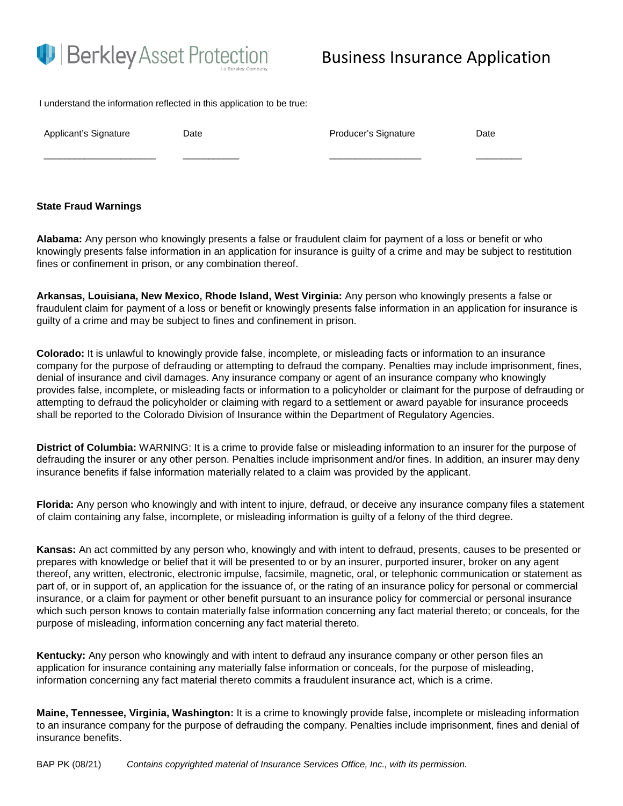

## Business Insurance Application

I understand the information reflected in this application to be true:

Applicant's Signature **Date Date Date Producer's Signature Date** 

#### **State Fraud Warnings**

**Alabama:** Any person who knowingly presents a false or fraudulent claim for payment of a loss or benefit or who knowingly presents false information in an application for insurance is guilty of a crime and may be subject to restitution fines or confinement in prison, or any combination thereof.

\_\_\_\_\_\_\_\_\_\_\_\_\_\_\_\_\_\_\_\_\_\_ \_\_\_\_\_\_\_\_\_\_\_ \_\_\_\_\_\_\_\_\_\_\_\_\_\_\_\_\_\_ \_\_\_\_\_\_\_\_\_

**Arkansas, Louisiana, New Mexico, Rhode Island, West Virginia:** Any person who knowingly presents a false or fraudulent claim for payment of a loss or benefit or knowingly presents false information in an application for insurance is guilty of a crime and may be subject to fines and confinement in prison.

**Colorado:** It is unlawful to knowingly provide false, incomplete, or misleading facts or information to an insurance company for the purpose of defrauding or attempting to defraud the company. Penalties may include imprisonment, fines, denial of insurance and civil damages. Any insurance company or agent of an insurance company who knowingly provides false, incomplete, or misleading facts or information to a policyholder or claimant for the purpose of defrauding or attempting to defraud the policyholder or claiming with regard to a settlement or award payable for insurance proceeds shall be reported to the Colorado Division of Insurance within the Department of Regulatory Agencies.

**District of Columbia:** WARNING: It is a crime to provide false or misleading information to an insurer for the purpose of defrauding the insurer or any other person. Penalties include imprisonment and/or fines. In addition, an insurer may deny insurance benefits if false information materially related to a claim was provided by the applicant.

**Florida:** Any person who knowingly and with intent to injure, defraud, or deceive any insurance company files a statement of claim containing any false, incomplete, or misleading information is guilty of a felony of the third degree.

**Kansas:** An act committed by any person who, knowingly and with intent to defraud, presents, causes to be presented or prepares with knowledge or belief that it will be presented to or by an insurer, purported insurer, broker on any agent thereof, any written, electronic, electronic impulse, facsimile, magnetic, oral, or telephonic communication or statement as part of, or in support of, an application for the issuance of, or the rating of an insurance policy for personal or commercial insurance, or a claim for payment or other benefit pursuant to an insurance policy for commercial or personal insurance which such person knows to contain materially false information concerning any fact material thereto; or conceals, for the purpose of misleading, information concerning any fact material thereto.

**Kentucky:** Any person who knowingly and with intent to defraud any insurance company or other person files an application for insurance containing any materially false information or conceals, for the purpose of misleading, information concerning any fact material thereto commits a fraudulent insurance act, which is a crime.

**Maine, Tennessee, Virginia, Washington:** It is a crime to knowingly provide false, incomplete or misleading information to an insurance company for the purpose of defrauding the company. Penalties include imprisonment, fines and denial of insurance benefits.